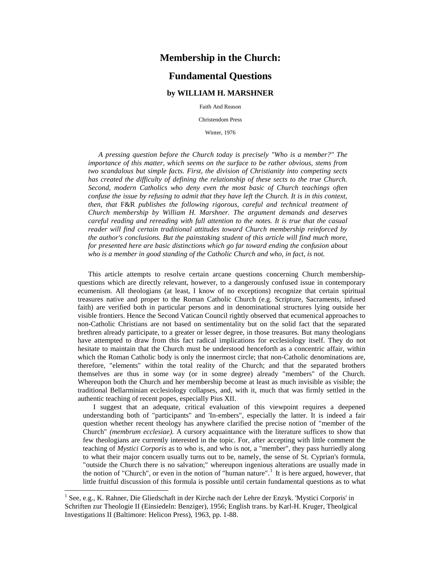## **Membership in the Church:**

# **Fundamental Questions**

## **by WILLIAM H. MARSHNER**

Faith And Reason

Christendom Press

<span id="page-0-0"></span>Winter, 1976

*A pressing question before the Church today is precisely "Who is a member?" The importance of this matter, which seems on the surface to be rather obvious, stems from two scandalous but simple facts. First, the division of Christianity into competing sects has created the difficulty of defining the relationship of these sects to the true Church. Second, modern Catholics who deny even the most basic of Church teachings often confuse the issue by refusing to admit that they have left the Church. It is in this context, then, that* F&R *publishes the following rigorous, careful and technical treatment of Church membership by William H. Marshner. The argument demands and deserves careful reading and rereading with full attention to the notes. It is true that the casual reader will find certain traditional attitudes toward Church membership reinforced by the author's conclusions. But the painstaking student of this article will find much more, for presented here are basic distinctions which go far toward ending the confusion about who is a member in good standing of the Catholic Church and who, in fact, is not.*

This article attempts to resolve certain arcane questions concerning Church membershipquestions which are directly relevant, however, to a dangerously confused issue in contemporary ecumenism. All theologians (at least, I know of no exceptions) recognize that certain spiritual treasures native and proper to the Roman Catholic Church (e.g. Scripture, Sacraments, infused faith) are verified both in particular persons and in denominational structures lying outside her visible frontiers. Hence the Second Vatican Council rightly observed that ecumenical approaches to non-Catholic Christians are not based on sentimentality but on the solid fact that the separated brethren already participate, to a greater or lesser degree, in those treasures. But many theologians have attempted to draw from this fact radical implications for ecclesiology itself. They do not hesitate to maintain that the Church must be understood henceforth as a concentric affair, within which the Roman Catholic body is only the innermost circle; that non-Catholic denominations are, therefore, "elements" within the total reality of the Church; and that the separated brothers themselves are thus in some way (or in some degree) already "members" of the Church. Whereupon both the Church and her membership become at least as much invisible as visible; the traditional Bellarminian ecclesiology collapses, and, with it, much that was firmly settled in the authentic teaching of recent popes, especially Pius XII.

I suggest that an adequate, critical evaluation of this viewpoint requires a deepened understanding both of "participants" and 'In-embers", especially the latter. It is indeed a fair question whether recent theology has anywhere clarified the precise notion of "member of the Church" *(membrum ecclesiae).* A cursory acquaintance with the literature suffices to show that few theologians are currently interested in the topic. For, after accepting with little comment the teaching of *Mystici Corporis* as to who is, and who is not, a "member", they pass hurriedly along to what their major concern usually turns out to be, namely, the sense of St. Cyprian's formula, "outside the Church there is no salvation;" whereupon ingenious alterations are usually made in the notion of "Church", or even in the notion of "human nature".<sup>[1](#page-0-0)</sup> It is here argued, however, that little fruitful discussion of this formula is possible until certain fundamental questions as to what

<sup>&</sup>lt;sup>1</sup> See, e.g., K. Rahner, Die Gliedschaft in der Kirche nach der Lehre der Enzyk. 'Mystici Corporis' in Schriften zur Theologie II (Einsiedeln: Benziger), 1956; English trans. by Karl-H. Kruger, Theolgical Investigations II (Baltimore: Helicon Press), 1963, pp. 1-88.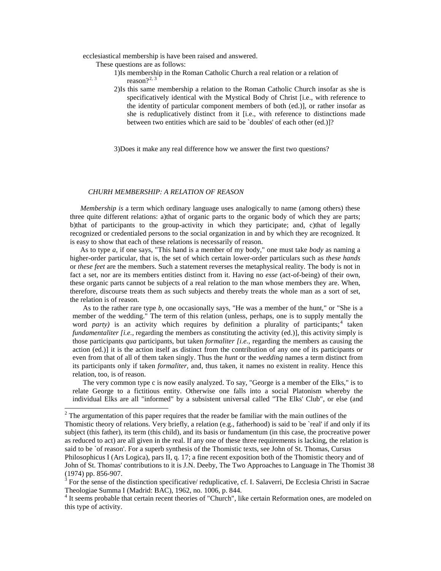ecclesiastical membership is have been raised and answered.

These questions are as follows:

- 1)Is membership in the Roman Catholic Church a real relation or a relation of reason?<sup>[2,](#page-1-0) [3](#page-1-1)</sup>
- 2)Is this same membership a relation to the Roman Catholic Church insofar as she is specificatively identical with the Mystical Body of Christ [i.e., with reference to the identity of particular component members of both (ed.)], or rather insofar as she is reduplicatively distinct from it [i.e., with reference to distinctions made between two entities which are said to be `doubles' of each other (ed.)]?

<span id="page-1-2"></span><span id="page-1-1"></span><span id="page-1-0"></span>3)Does it make any real difference how we answer the first two questions?

#### *CHURH MEMBERSHIP: A RELATION OF REASON*

*Membership is* a term which ordinary language uses analogically to name (among others) these three quite different relations: a)that of organic parts to the organic body of which they are parts; b)that of participants to the group-activity in which they participate; and, c)that of legally recognized or credentialed persons to the social organization in and by which they are recognized. It is easy to show that each of these relations is necessarily of reason.

As to type *a,* if one says, "This hand is a member of my body," one must take *body* as naming a higher-order particular, that is, the set of which certain lower-order particulars such as *these hands*  or *these feet* are the members. Such a statement reverses the metaphysical reality. The body is not in fact a set, nor are its members entities distinct from it. Having no *esse* (act-of-being) of their own, these organic parts cannot be subjects of a real relation to the man whose members they are. When, therefore, discourse treats them as such subjects and thereby treats the whole man as a sort of set, the relation is of reason.

As to the rather rare type *b,* one occasionally says, "He was a member of the hunt," or "She is a member of the wedding." The term of this relation (unless, perhaps, one is to supply mentally the word *party*) is an activity which requires by definition a plurality of participants;<sup>[4](#page-1-2)</sup> taken *fundamentaliter [i.e., regarding the members as constituting the activity (ed.)], this activity simply is* those participants *qua* participants, but taken *formaliter [i.e.,* regarding the members as causing the action (ed.)] it is the action itself as distinct from the contribution of any one of its participants or even from that of all of them taken singly. Thus the *hunt* or the *wedding* names a term distinct from its participants only if taken *formaliter,* and, thus taken, it names no existent in reality. Hence this relation, too, is of reason.

The very common type c is now easily analyzed. To say, "George is a member of the Elks," is to relate George to a fictitious entity. Otherwise one falls into a social Platonism whereby the individual Elks are all "informed" by a subsistent universal called "The Elks' Club", or else (and

 $2$  The argumentation of this paper requires that the reader be familiar with the main outlines of the Thomistic theory of relations. Very briefly, a relation (e.g., fatherhood) is said to be `real' if and only if its subject (this father), its term (this child), and its basis or fundamentum (in this case, the procreative power as reduced to act) are all given in the real. If any one of these three requirements is lacking, the relation is said to be `of reason'. For a superb synthesis of the Thomistic texts, see John of St. Thomas, Cursus Philosophicus I (Ars Logica), pars II, q. 17; a fine recent exposition both of the Thomistic theory and of John of St. Thomas' contributions to it is J.N. Deeby, The Two Approaches to Language in The Thomist 38 (1974) pp. 856-907.<br><sup>3</sup> For the sense of the distinction specificative/ reduplicative, cf. I. Salaverri, De Ecclesia Christi in Sacrae

Theologiae Summa I (Madrid: BAC), 1962, no. 1006, p. 844.<br><sup>4</sup> It seems probable that certain recent theories of "Church", like certain Reformation ones, are modeled on

this type of activity.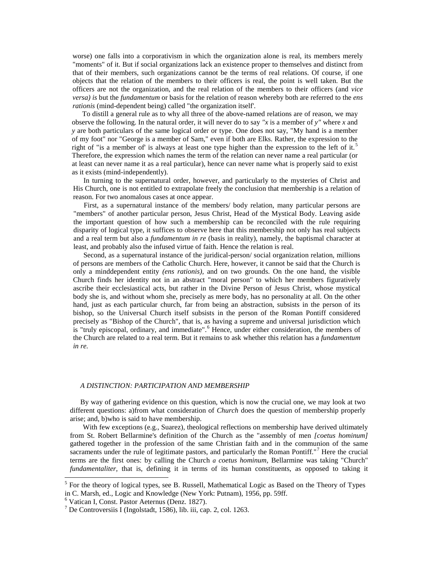worse) one falls into a corporativism in which the organization alone is real, its members merely "moments" of it. But if social organizations lack an existence proper to themselves and distinct from that of their members, such organizations cannot be the terms of real relations. Of course, if one objects that the relation of the members to their officers is real, the point is well taken. But the officers are not the organization, and the real relation of the members to their officers (and *vice versa) is* but the *fundamentum* or basis for the relation of reason whereby both are referred to the *ens rationis* (mind-dependent being) called "the organization itself'.

<span id="page-2-2"></span><span id="page-2-1"></span><span id="page-2-0"></span>To distill a general rule as to why all three of the above-named relations are of reason, we may observe the following. In the natural order, it will never do to say *"x* is a member of *y"* where *x* and *y* are both particulars of the same logical order or type. One does not say, "My hand is a member of my foot" nor "George is a member of Sam," even if both are Elks. Rather, the expression to the right of "is a member of" is always at least one type higher than the expression to the left of it.<sup>[5](#page-2-0)</sup> Therefore, the expression which names the term of the relation can never name a real particular (or at least can never name it as a real particular), hence can never name what is properly said to exist as it exists (mind-independently).

In turning to the supernatural order, however, and particularly to the mysteries of Christ and His Church, one is not entitled to extrapolate freely the conclusion that membership is a relation of reason. For two anomalous cases at once appear.

First, as a supernatural instance of the members/ body relation, many particular persons are "members" of another particular person, Jesus Christ, Head of the Mystical Body. Leaving aside the important question of how such a membership can be reconciled with the rule requiring disparity of logical type, it suffices to observe here that this membership not only has real subjects and a real term but also a *fundamentum in re* (basis in reality), namely, the baptismal character at least, and probably also the infused virtue of faith. Hence the relation is real.

Second, as a supernatural instance of the juridical-person/ social organization relation, millions of persons are members of the Catholic Church. Here, however, it cannot be said that the Church is only a minddependent entity *(ens rationis),* and on two grounds. On the one hand, the visible Church finds her identity not in an abstract "moral person" to which her members figuratively ascribe their ecclesiastical acts, but rather in the Divine Person of Jesus Christ, whose mystical body she is, and without whom she, precisely as mere body, has no personality at all. On the other hand, just as each particular church, far from being an abstraction, subsists in the person of its bishop, so the Universal Church itself subsists in the person of the Roman Pontiff considered precisely as "Bishop of the Church", that is, as having a supreme and universal jurisdiction which is "truly episcopal, ordinary, and immediate".<sup>[6](#page-2-1)</sup> Hence, under either consideration, the members of the Church are related to a real term. But it remains to ask whether this relation has a *fundamentum in re.*

#### *A DISTINCTION: PARTICIPATION AND MEMBERSHIP*

By way of gathering evidence on this question, which is now the crucial one, we may look at two different questions: a)from what consideration of *Church* does the question of membership properly arise; and, b)who is said to have membership.

With few exceptions (e.g., Suarez), theological reflections on membership have derived ultimately from St. Robert Bellarmine's definition of the Church as the "assembly of men *[coetus hominum]*  gathered together in the profession of the same Christian faith and in the communion of the same sacraments under the rule of legitimate pastors, and particularly the Roman Pontiff."<sup>[7](#page-2-2)</sup> Here the crucial terms are the first ones: by calling the Church *a coetus hominum,* Bellarmine was taking "Church" *fundamentaliter*, that is, defining it in terms of its human constituents, as opposed to taking it

 $<sup>5</sup>$  For the theory of logical types, see B. Russell, Mathematical Logic as Based on the Theory of Types</sup> in C. Marsh, ed., Logic and Knowledge (New York: Putnam), 1956, pp. 59ff.

<sup>6</sup> Vatican I, Const. Pastor Aeternus (Denz. 1827).

<sup>7</sup> De Controversiis I (Ingolstadt, 1586), lib. iii, cap. 2, col. 1263.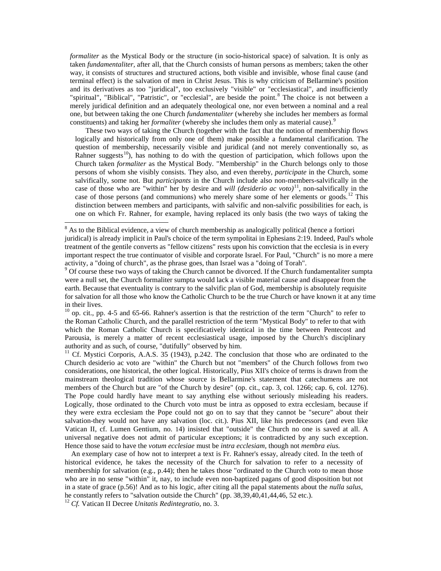*formaliter* as the Mystical Body or the structure (in socio-historical space) of salvation. It is only as taken *fundamentaliter,* after all, that the Church consists of human persons as members; taken the other way, it consists of structures and structured actions, both visible and invisible, whose final cause (and terminal effect) is the salvation of men in Christ Jesus. This is why criticism of Bellarmine's position and its derivatives as too "juridical", too exclusively "visible" or "ecclesiastical", and insufficiently "spiritual", "Biblical", "Patristic", or "ecclesial", are beside the point.<sup>[8](#page-3-0)</sup> The choice is not between a merely juridical definition and an adequately theological one, nor even between a nominal and a real one, but between taking the one Church *fundamentaliter* (whereby she includes her members as formal constituents) and taking her *formaliter* (whereby she includes them only as material cause).<sup>[9](#page-3-1)</sup>

<span id="page-3-4"></span><span id="page-3-3"></span><span id="page-3-2"></span><span id="page-3-1"></span><span id="page-3-0"></span>These two ways of taking the Church (together with the fact that the notion of membership flows logically and historically from only one of them) make possible a fundamental clarification. The question of membership, necessarily visible and juridical (and not merely conventionally so, as Rahner suggests<sup>[10](#page-3-2)</sup>), has nothing to do with the question of participation, which follows upon the Church taken *formaliter* as the Mystical Body. "Membership" in the Church belongs only to those persons of whom she visibly consists. They also, and even thereby, *participate* in the Church, some salvifically, some not. But *participants* in the Church include also non-members-salvifically in the case of those who are "within" her by desire and *will (desiderio ac voto)*[11](#page-3-3), non-salvifically in the case of those persons (and communions) who merely share some of her elements or goods.<sup>[12](#page-3-4)</sup> This distinction between members and participants, with salvific and non-salvific possibilities for each, is one on which Fr. Rahner, for example, having replaced its only basis (the two ways of taking the

<sup>11</sup> Cf. Mystici Corporis, A.A.S. 35 (1943), p.242. The conclusion that those who are ordinated to the Church desiderio ac voto are "within" the Church but not "members" of the Church follows from two considerations, one historical, the other logical. Historically, Pius XII's choice of terms is drawn from the mainstream theological tradition whose source is Bellarmine's statement that catechumens are not members of the Church but are "of the Church by desire" (op. cit., cap. 3, col. 1266; cap. 6, col. 1276). The Pope could hardly have meant to say anything else without seriously misleading his readers. Logically, those ordinated to the Church voto must be intra as opposed to extra ecclesiam, because if they were extra ecclesiam the Pope could not go on to say that they cannot be "secure" about their salvation-they would not have any salvation (loc. cit.). Pius XII, like his predecessors (and even like Vatican II, cf. Lumen Gentium, no. 14) insisted that "outside" the Church no one is saved at all. A universal negative does not admit of particular exceptions; it is contradicted by any such exception. Hence those said to have the *votum ecclesiae* must be *intra ecclesiam,* though not *membra eius.*

An exemplary case of how not to interpret a text is Fr. Rahner's essay, already cited. In the teeth of historical evidence, he takes the necessity of the Church for salvation to refer to a necessity of membership for salvation (e.g., p.44); then he takes those "ordinated to the Church *voto* to mean those who are in no sense "within" it, nay, to include even non-baptized pagans of good disposition but not in a state of grace (p.56)! And as to his logic, after citing all the papal statements about the *nulla salus,*  he constantly refers to "salvation outside the Church" (pp. 38,39,40,41,44,46, 52 etc.).

<sup>12</sup> *Cf.* Vatican II Decree *Unitatis Redintegratio,* no. 3.

<sup>&</sup>lt;sup>8</sup> As to the Biblical evidence, a view of church membership as analogically political (hence a fortiori juridical) is already implicit in Paul's choice of the term sympolitai in Ephesians 2:19. Indeed, Paul's whole treatment of the gentile converts as "fellow citizens" rests upon his conviction that the ecclesia is in every important respect the true continuator of visible and corporate Israel. For Paul, "Church" is no more a mere activity, a "doing of church", as the phrase goes, than Israel was a "doing of Torah".

<sup>&</sup>lt;sup>9</sup> Of course these two ways of taking the Church cannot be divorced. If the Church fundamentaliter sumpta were a null set, the Church formaliter sumpta would lack a visible material cause and disappear from the earth. Because that eventuality is contrary to the salvific plan of God, membership is absolutely requisite for salvation for all those who know the Catholic Church to be the true Church or have known it at any time in their lives.

 $10$  op. cit., pp. 4-5 and 65-66. Rahner's assertion is that the restriction of the term "Church" to refer to the Roman Catholic Church, and the parallel restriction of the term "Mystical Body" to refer to that with which the Roman Catholic Church is specificatively identical in the time between Pentecost and Parousia, is merely a matter of recent ecclesiastical usage, imposed by the Church's disciplinary authority and as such, of course, "dutifully" observed by him.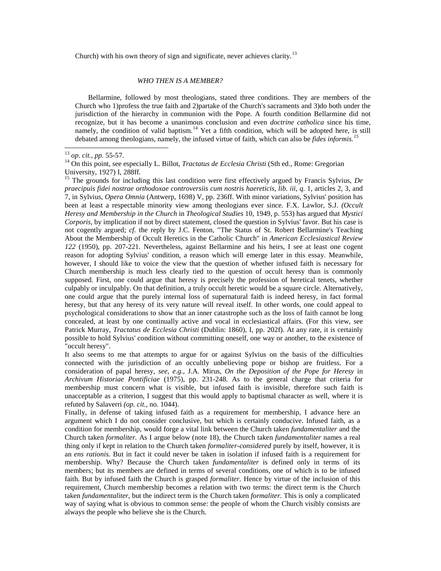Church) with his own theory of sign and significate, never achieves clarity.<sup>[13](#page-4-0)</sup>

## <span id="page-4-2"></span><span id="page-4-1"></span><span id="page-4-0"></span>*WHO THEN IS A MEMBER?*

Bellarmine, followed by most theologians, stated three conditions. They are members of the Church who 1)profess the true faith and 2)partake of the Church's sacraments and 3)do both under the jurisdiction of the hierarchy in communion with the Pope. A fourth condition Bellarmine did not recognize, but it has become a unanimous conclusion and even *doctrine catholica* since his time, namely, the condition of valid baptism.<sup>[14](#page-4-1)</sup> Yet a fifth condition, which will be adopted here, is still debated among theologians, namely, the infused virtue of faith, which can also be *fides informis.[15](#page-4-2)*

<sup>13</sup> *op. cit., pp.* 55-57.<br><sup>14</sup> On this point, see especially L. Billot, *Tractatus de Ecclesia Christi* (Sth ed., Rome: Gregorian University, 1927) I, 288ff.

<sup>15</sup> The grounds for including this last condition were first effectively argued by Francis Sylvius, *De praecipuis fidei nostrae orthodoxae controversiis cum nostris haereticis, lib. iii, q. 1, articles 2, 3, and* 7, in Sylvius, *Opera Omnia* (Antwerp, 1698) V, pp. 236ff. With minor variations, Sylvius' position has been at least a respectable minority view among theologians ever since. F.X. Lawlor, S.J. *(Occult Heresy and Membership in the Church* in *Theological Studies* 10, 1949, p. 553) has argued that *Mystici Corporis,* by implication if not by direct statement, closed the question in Sylvius' favor. But his case is not cogently argued; *cf.* the reply by J.C. Fenton, "The Status of St. Robert Bellarmine's Teaching About the Membership of Occult Heretics in the Catholic Church" in *American Ecclesiastical Review 122* (1950), pp. 207-221. Nevertheless, against Bellarmine and his heirs, I see at least one cogent reason for adopting Sylvius' condition, a reason which will emerge later in this essay. Meanwhile, however, I should like to voice the view that the question of whether infused faith is necessary for Church membership is much less clearly tied to the question of occult heresy than is commonly supposed. First, one could argue that heresy is precisely the profession of heretical tenets, whether culpably or inculpably. On that definition, a truly occult heretic would be a square circle. Alternatively, one could argue that the purely internal loss of supernatural faith is indeed heresy, in fact formal heresy, but that any heresy of its very nature will reveal itself. In other words, one could appeal to psychological considerations to show that an inner catastrophe such as the loss of faith cannot be long concealed, at least by one continually active and vocal in ecclesiastical affairs. (For this view, see Patrick Murray, *Tractatus de Ecclesia Christi* (Dublin: 1860), I, pp. 202f). At any rate, it is certainly possible to hold Sylvius' condition without committing oneself, one way or another, to the existence of "occult heresy".

It also seems to me that attempts to argue for or against Sylvius on the basis of the difficulties connected with the jurisdiction of an occultly unbelieving pope or bishop are fruitless. For a consideration of papal heresy, *see, e.g.,* J.A. Mirus, *On the Deposition of the Pope for Heresy* in *Archivum Historiae Pontificiae* (1975), pp. 231-248. As to the general charge that criteria for membership must concern what is visible, but infused faith is invisible, therefore such faith is unacceptable as a criterion, I suggest that this would apply to baptismal character as well, where it is refuted by Salaverri *(op. cit.,* no. 1044).

Finally, in defense of taking infused faith as a requirement for membership, I advance here an argument which I do not consider conclusive, but which is certainly conducive. Infused faith, as a condition for membership, would forge a vital link between the Church taken *fundamentaliter* and the Church taken *formaliter.* As I argue below (note 18), the Church taken *fundamentaliter* names a real thing only if kept in relation to the Church taken *formaliter-considered* purely by itself, however, it is an *ens rationis.* But in fact it could never be taken in isolation if infused faith is a requirement for membership. Why? Because the Church taken *fundamentaliter* is defined only in terms of its members; but its members are defined in terms of several conditions, one of which is to be infused faith. But by infused faith the Church is grasped *formaliter.* Hence by virtue of the inclusion of this requirement, Church membership becomes a relation with two terms: the direct term is the Church taken *fundamentaliter,* but the indirect term is the Church taken *formaliter.* This is only a complicated way of saying what is obvious to common sense: the people of whom the Church visibly consists are always the people who believe she is the Church.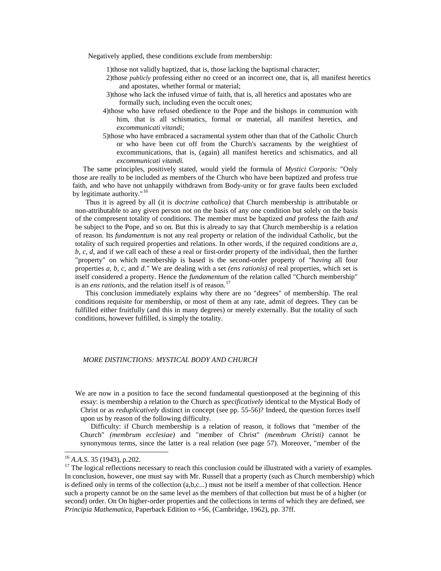Negatively applied, these conditions exclude from membership:

- 1)those not validly baptized, that is, those lacking the baptismal character;
- 2)those *publicly* professing either no creed or an incorrect one, that is, all manifest heretics and apostates, whether formal or material;
- <span id="page-5-1"></span><span id="page-5-0"></span>3)those who lack the infused virtue of faith, that is, all heretics and apostates who are formally such, including even the occult ones;
- 4)those who have refused obedience to the Pope and the bishops in communion with him, that is all schismatics, formal or material, all manifest heretics, and *excommunicati vitandi;*
- 5)those who have embraced a sacramental system other than that of the Catholic Church or who have been cut off from the Church's sacraments by the weightiest of excommunications, that is, (again) all manifest heretics and schismatics, and all *excommunicati vitandi.*

The same principles, positively stated, would yield the formula of *Mystici Corporis:* "Only those are really to be included as members of the Church who have been baptized and profess true faith, and who have not unhappily withdrawn from Body-unity or for grave faults been excluded by legitimate authority."<sup>[16](#page-5-0)</sup>

Thus it is agreed by all (it is *doctrine catholica)* that Church membership is attributable or non-attributable to any given person not on the basis of any one condition but solely on the basis of the compresent totality of conditions. The member must be baptized *and* profess the faith *and*  be subject to the Pope, and so on. But this is already to say that Church membership is a relation of reason. Its *fundamentum* is not any real property or relation of the individual Catholic, but the totality of such required properties and relations. In other words, if the required conditions are *a, b, c, d,* and if we call each of these a real or first-order property of the individual, then the further "property" on which membership is based is the second-order property of *"having* all four properties *a, b, c,* and *d."* We are dealing with a set *(ens rationis)* of real properties, which set is itself considered a property. Hence the *fundamentum* of the relation called "Church membership" is an *ens rationis*, and the relation itself is of reason.<sup>[17](#page-5-1)</sup>

This conclusion immediately explains why there are no "degrees" of membership. The real conditions requisite for membership, or most of them at any rate, admit of degrees. They can be fulfilled either fruitfully (and this in many degrees) or merely externally. But the totality of such conditions, however fulfilled, is simply the totality.

## *MORE DISTINCTIONS: MYSTICAL BODY AND CHURCH*

We are now in a position to face the second fundamental questionposed at the beginning of this essay: is membership a relation to the Church as *specificatively* identical to the Mystical Body of Christ or as *reduplicatively* distinct in concept (see pp. 55-56)? Indeed, the question forces itself upon us by reason of the following difficulty.

Difficulty: if Church membership is a relation of reason, it follows that "member of the Church" *(membrum ecclesiae)* and "member of Christ" *(membrum Christi)* cannot be synonymous terms, since the latter is a real relation (see page 57). Moreover, "member of the

<sup>&</sup>lt;sup>16</sup> *A.A.S.* 35 (1943), p.202.<br><sup>17</sup> The logical reflections necessary to reach this conclusion could be illustrated with a variety of examples. In conclusion, however, one must say with Mr. Russell that a property (such as Church membership) which is defined only in terms of the collection (a,b,c...) must not be itself a member of that collection. Hence such a property cannot be on the same level as the members of that collection but must be of a higher (or second) order. On On higher-order properties and the collections in terms of which they are defined, see *Principia Mathematica,* Paperback Edition to +56, (Cambridge, 1962), pp. 37ff.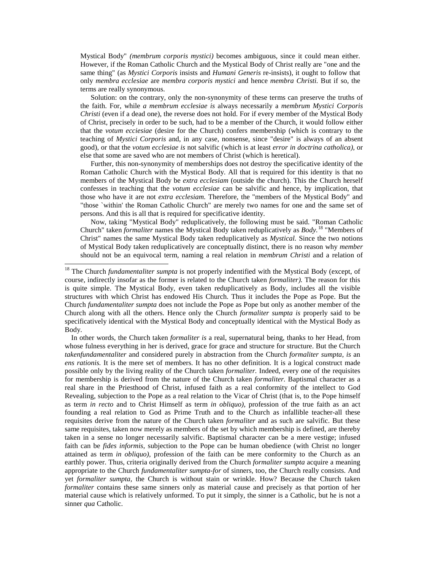Mystical Body" *(membrum corporis mystici)* becomes ambiguous, since it could mean either. However, if the Roman Catholic Church and the Mystical Body of Christ really are "one and the same thing" (as *Mystici Corporis* insists and *Humani Generis* re-insists), it ought to follow that only *membra ecclesiae* are *membra corporis mystici* and hence *membra Christi.* But if so, the terms are really synonymous.

Solution: on the contrary, only the non-synonymity of these terms can preserve the truths of the faith. For, while *a membrum ecclesiae is* always necessarily a *membrum Mystici Corporis Christi* (even if a dead one), the reverse does not hold. For if every member of the Mystical Body of Christ, precisely in order to be such, had to be a member of the Church, it would follow either that the *votum ecciesiae* (desire for the Church) confers membership (which is contrary to the teaching of *Mystici Corporis* and, in any case, nonsense, since "desire" is always of an absent good), or that the *votum ecclesiae is* not salvific (which is at least *error in doctrina catholica),* or else that some are saved who are not members of Christ (which is heretical).

<span id="page-6-0"></span>Further, this non-synonymity of memberships does not destroy the specificative identity of the Roman Catholic Church with the Mystical Body. All that is required for this identity is that no members of the Mystical Body be *extra ecclesiam* (outside the church). This the Church herself confesses in teaching that the *votum ecclesiae* can be salvific and hence, by implication, that those who have it are not *extra ecclesiam.* Therefore, the "members of the Mystical Body" and "those `within' the Roman Catholic Church" are merely two names for one and the same set of persons. And this is all that is required for specificative identity.

Now, taking "Mystical Body" reduplicatively, the following must be said. "Roman Catholic Church" taken *formaliter* names the Mystical Body taken reduplicatively as *Body.*[18](#page-6-0) "Members of Christ" names the same Mystical Body taken reduplicatively as *Mystical.* Since the two notions of Mystical Body taken reduplicatively are conceptually distinct, there is no reason why *member*  should not be an equivocal term, naming a real relation in *membrum Christi* and a relation of

In other words, the Church taken *formaliter is* a real, supernatural being, thanks to her Head, from whose fulness everything in her is derived, grace for grace and structure for structure. But the Church *takenfundamentaliter* and considered purely in abstraction from the Church *formaliter sumpta, is* an *ens rationis.* It is the mere set of members. It has no other definition. It is a logical construct made possible only by the living reality of the Church taken *formaliter.* Indeed, every one of the requisites for membership is derived from the nature of the Church taken *formaliter.* Baptismal character as a real share in the Priesthood of Christ, infused faith as a real conformity of the intellect to God Revealing, subjection to the Pope as a real relation to the Vicar of Christ (that is, to the Pope himself as term *in recto* and to Christ Himself as term *in obliquo),* profession of the true faith as an act founding a real relation to God as Prime Truth and to the Church as infallible teacher-all these requisites derive from the nature of the Church taken *formaliter* and as such are salvific. But these same requisites, taken now merely as members of the set by which membership is defined, are thereby taken in a sense no longer necessarily salvific. Baptismal character can be a mere vestige; infused faith can be *fides informis,* subjection to the Pope can be human obedience (with Christ no longer attained as term *in obliquo),* profession of the faith can be mere conformity to the Church as an earthly power. Thus, criteria originally derived from the Church *formaliter sumpta* acquire a meaning appropriate to the Church *fundamentaliter sumpta-for* of sinners, too, the Church really consists. And yet *formaliter sumpta,* the Church is without stain or wrinkle. How? Because the Church taken *formaliter* contains these same sinners only as material cause and precisely as that portion of her material cause which is relatively unformed. To put it simply, the sinner is a Catholic, but he is not a sinner *qua* Catholic.

<sup>&</sup>lt;sup>18</sup> The Church *fundamentaliter sumpta* is not properly indentified with the Mystical Body (except, of course, indirectly insofar as the former is related to the Church taken *formaliter).* The reason for this is quite simple. The Mystical Body, even taken reduplicatively as Body, includes all the visible structures with which Christ has endowed His Church. Thus it includes the Pope as Pope. But the Church *fundamentaliter sumpta* does not include the Pope as Pope but only as another member of the Church along with all the others. Hence only the Church *formaliter sumpta is* properly said to be specificatively identical with the Mystical Body and conceptually identical with the Mystical Body as Body.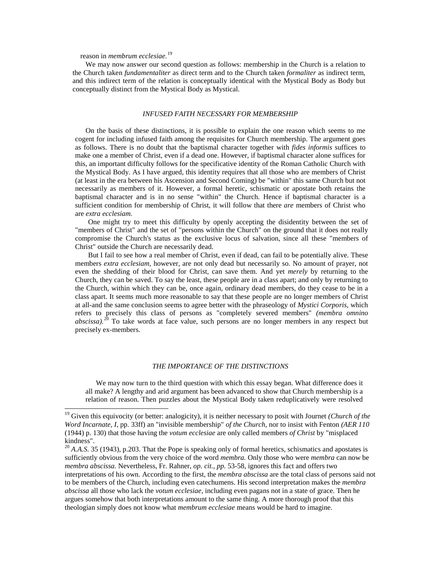reason in *membrum ecclesiae.*[19](#page-7-0)

We may now answer our second question as follows: membership in the Church is a relation to the Church taken *fundamentaliter* as direct term and to the Church taken *formaliter* as indirect term, and this indirect term of the relation is conceptually identical with the Mystical Body as Body but conceptually distinct from the Mystical Body as Mystical.

#### <span id="page-7-1"></span><span id="page-7-0"></span>*INFUSED FAITH NECESSARY FOR MEMBERSHIP*

On the basis of these distinctions, it is possible to explain the one reason which seems to me cogent for including infused faith among the requisites for Church membership. The argument goes as follows. There is no doubt that the baptismal character together with *fides informis* suffices to make one a member of Christ, even if a dead one. However, if baptismal character alone suffices for this, an important difficulty follows for the specificative identity of the Roman Catholic Church with the Mystical Body. As I have argued, this identity requires that all those who are members of Christ (at least in the era between his Ascension and Second Coming) be "within" this same Church but not necessarily as members of it. However, a formal heretic, schismatic or apostate both retains the baptismal character and is in no sense "within" the Church. Hence if baptismal character is a sufficient condition for membership of Christ, it will follow that there *are* members of Christ who are *extra ecclesiam.*

One might try to meet this difficulty by openly accepting the disidentity between the set of "members of Christ" and the set of "persons within the Church" on the ground that it does not really compromise the Church's status as the exclusive locus of salvation, since all these "members of Christ" outside the Church are necessarily dead.

But I fail to see how a real member of Christ, even if dead, can fail to be potentially alive. These members *extra ecclesiam,* however, are not only dead but necessarily so. No amount of prayer, not even the shedding of their blood for Christ, can save them. And yet *merely* by returning to the Church, they can be saved. To say the least, these people are in a class apart; and only by returning to the Church, within which they can be, once again, ordinary dead members, do they cease to be in a class apart. It seems much more reasonable to say that these people are no longer members of Christ at all-and the same conclusion seems to agree better with the phraseology of *Mystici Corporis,* which refers to precisely this class of persons as "completely severed members" *(membra omnino abscissa).*[20](#page-7-1) To take words at face value, such persons are no longer members in any respect but precisely ex-members.

## *THE IMPORTANCE OF THE DISTINCTIONS*

We may now turn to the third question with which this essay began. What difference does it all make? A lengthy and arid argument has been advanced to show that Church membership is a relation of reason. Then puzzles about the Mystical Body taken reduplicatively were resolved

<sup>&</sup>lt;sup>19</sup> Given this equivocity (or better: analogicity), it is neither necessary to posit with Journet *(Church of the Word Incarnate, I,* pp. 33ff) an "invisible membership" *of the Church,* nor to insist with Fenton *(AER 110*  (1944) p. 130) that those having the *votum ecclesiae* are only called members *of Christ* by "misplaced kindness".

<sup>&</sup>lt;sup>20</sup> *A.A.S.* 35 (1943), p.203. That the Pope is speaking only of formal heretics, schismatics and apostates is sufficiently obvious from the very choice of the word *membra.* Only those who were *membra* can now be *membra abscissa.* Nevertheless, Fr. Rahner, *op. cit., pp.* 53-58, ignores this fact and offers two interpretations of his own. According to the first, the *membra abscissa* are the total class of persons said not to be members of the Church, including even catechumens. His second interpretation makes the *membra abscissa* all those who lack the *votum ecclesiae,* including even pagans not in a state of grace. Then he argues somehow that both interpretations amount to the same thing. A more thorough proof that this theologian simply does not know what *membrum ecclesiae* means would be hard to imagine.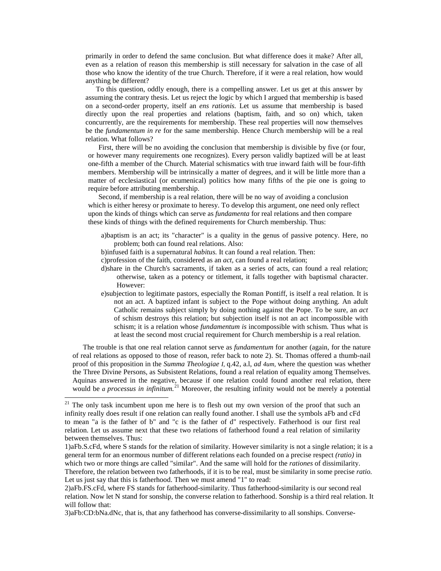primarily in order to defend the same conclusion. But what difference does it make? After all, even as a relation of reason this membership is still necessary for salvation in the case of all those who know the identity of the true Church. Therefore, if it were a real relation, how would anything be different?

To this question, oddly enough, there is a compelling answer. Let us get at this answer by assuming the contrary thesis. Let us reject the logic by which I argued that membership is based on a second-order property, itself an *ens rationis.* Let us assume that membership is based directly upon the real properties and relations (baptism, faith, and so on) which, taken concurrently, are the requirements for membership. These real properties will now themselves be the *fundamentum in re* for the same membership. Hence Church membership will be a real relation. What follows?

<span id="page-8-0"></span>First, there will be no avoiding the conclusion that membership is divisible by five (or four, or however many requirements one recognizes). Every person validly baptized will be at least one-fifth a member of the Church. Material schismatics with true inward faith will be four-fifth members. Membership will be intrinsically a matter of degrees, and it will be little more than a matter of ecclesiastical (or ecumenical) politics how many fifths of the pie one is going to require before attributing membership.

Second, if membership is a real relation, there will be no way of avoiding a conclusion which is either heresy or proximate to heresy. To develop this argument, one need only reflect upon the kinds of things which can serve as *fundamenta* for real relations and then compare these kinds of things with the defined requirements for Church membership. Thus:

- a)baptism is an act; its "character" is a quality in the genus of passive potency. Here, no problem; both can found real relations. Also:
- b)infused faith is a supernatural *habitus.* It can found a real relation. Then:
- c)profession of the faith, considered as an *act,* can found a real relation;
- d)share in the Church's sacraments, if taken as a series of acts, can found a real relation; otherwise, taken as a potency or titlement, it falls together with baptismal character. However:
- e)subjection to legitimate pastors, especially the Roman Pontiff, is itself a real relation. It is not an act. A baptized infant is subject to the Pope without doing anything. An adult Catholic remains subject simply by doing nothing against the Pope. To be sure, an *act*  of schism destroys this relation; but subjection itself is not an act incompossible with schism; it is a relation whose *fundamentum is* incompossible with schism. Thus what is at least the second most crucial requirement for Church membership is a real relation.

The trouble is that one real relation cannot serve as *fundamentum* for another (again, for the nature of real relations as opposed to those of reason, refer back to note 2). St. Thomas offered a thumb-nail proof of this proposition in the *Summa Theologiae I,* q.42, a.l, *ad 4um,* where the question was whether the Three Divine Persons, as Subsistent Relations, found a real relation of equality among Themselves. Aquinas answered in the negative, because if one relation could found another real relation, there would be *a processus in infinitum*.<sup>[21](#page-8-0)</sup> Moreover, the resulting infinity would not be merely a potential

<sup>&</sup>lt;sup>21</sup> The only task incumbent upon me here is to flesh out my own version of the proof that such an infinity really does result if one relation can really found another. I shall use the symbols aFb and cFd to mean "a is the father of b" and "c is the father of d" respectively. Fatherhood is our first real relation. Let us assume next that these two relations of fatherhood found a real relation of similarity between themselves. Thus:

<sup>1)</sup>aFb.S.cFd, where S stands for the relation of similarity. However similarity is not a single relation; it is a general term for an enormous number of different relations each founded on a precise respect *(ratio)* in which two or more things are called "similar". And the same will hold for the *rationes* of dissimilarity.

Therefore, the relation between two fatherhoods, if it is to be real, must be similarity in some precise *ratio.*  Let us just say that this is fatherhood. Then we must amend "1" to read:

<sup>2)</sup>aFb.FS.cFd, where FS stands for fatherhood-similarity. Thus fatherhood-similarity is our second real relation. Now let N stand for sonship, the converse relation to fatherhood. Sonship is a third real relation. It will follow that:

<sup>3)</sup>aFb:CD:bNa.dNc, that is, that any fatherhood has converse-dissimilarity to all sonships. Converse-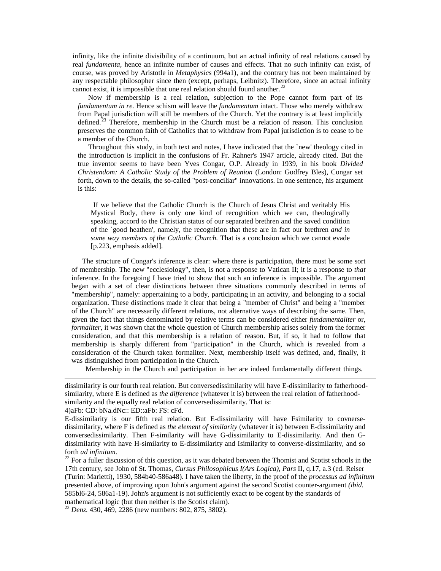infinity, like the infinite divisibility of a continuum, but an actual infinity of real relations caused by real *fundamenta,* hence an infinite number of causes and effects. That no such infinity can exist, of course, was proved by Aristotle in *Metaphysics* (994a1), and the contrary has not been maintained by any respectable philosopher since then (except, perhaps, Leibnitz). Therefore, since an actual infinity cannot exist, it is impossible that one real relation should found another.<sup>[22](#page-9-0)</sup>

Now if membership is a real relation, subjection to the Pope cannot form part of its *fundamentum in re.* Hence schism will leave the *fundamentum* intact. Those who merely withdraw from Papal jurisdiction will still be members of the Church. Yet the contrary is at least implicitly defined.<sup>[23](#page-9-1)</sup> Therefore, membership in the Church must be a relation of reason. This conclusion preserves the common faith of Catholics that to withdraw from Papal jurisdiction is to cease to be a member of the Church.

Throughout this study, in both text and notes, I have indicated that the `new' theology cited in the introduction is implicit in the confusions of Fr. Rahner's 1947 article, already cited. But the true inventor seems to have been Yves Congar, O.P. Already in 1939, in his book *Divided Christendom: A Catholic Study of the Problem of Reunion* (London: Godfrey Bles), Congar set forth, down to the details, the so-called "post-conciliar" innovations. In one sentence, his argument is this:

<span id="page-9-1"></span><span id="page-9-0"></span>If we believe that the Catholic Church is the Church of Jesus Christ and veritably His Mystical Body, there is only one kind of recognition which we can, theologically speaking, accord to the Christian status of our separated brethren and the saved condition of the `good heathen', namely, the recognition that these are in fact our brethren *and in some way members of the Catholic Church.* That is a conclusion which we cannot evade [p.223, emphasis added].

The structure of Congar's inference is clear: where there is participation, there must be some sort of membership. The new "ecclesiology", then, is not a response to Vatican II; it is a response to *that*  inference. In the foregoing I have tried to show that such an inference is impossible. The argument began with a set of clear distinctions between three situations commonly described in terms of "membership", namely: appertaining to a body, participating in an activity, and belonging to a social organization. These distinctions made it clear that being a "member of Christ" and being a "member of the Church" are necessarily different relations, not alternative ways of describing the same. Then, given the fact that things denominated by relative terms can be considered either *fundamentaliter* or, *formaliter*, it was shown that the whole question of Church membership arises solely from the former consideration, and that this membership is a relation of reason. But, if so, it had to follow that membership is sharply different from "participation" in the Church, which is revealed from a consideration of the Church taken formaliter. Next, membership itself was defined, and, finally, it was distinguished from participation in the Church.

Membership in the Church and participation in her are indeed fundamentally different things.

dissimilarity is our fourth real relation. But conversedissimilarity will have E-dissimilarity to fatherhoodsimilarity, where E is defined as *the difference* (whatever it is) between the real relation of fatherhoodsimilarity and the equally real relation of conversedissimilarity. That is:

4)aFb: CD: bNa.dNc:: ED::aFb: FS: cFd.

 $\overline{a}$ 

E-dissimilarity is our fifth real relation. But E-dissimilarity will have Fsimilarity to covnersedissimilarity, where F is defined as *the element of similarity* (whatever it is) between E-dissimilarity and conversedissimilarity. Then F-similarity will have G-dissimilarity to E-dissimilarity. And then Gdissimilarity with have H-similarity to E-dissimilarity and Isimilarity to converse-dissimilarity, and so forth *ad infinitum*.<br><sup>22</sup> For a fuller discussion of this question, as it was debated between the Thomist and Scotist schools in the

17th century, see John of St. Thomas, *Cursus Philosophicus I(Ars Logica), Pars* II, q.17, a.3 (ed. Reiser (Turin: Marietti), 1930, 584b40-586a48). I have taken the liberty, in the proof of the *processus ad infinitum*  presented above, of improving upon John's argument against the second Scotist counter-argument *(ibid.*  585bl6-24, 586a1-19). John's argument is not sufficiently exact to be cogent by the standards of mathematical logic (but then neither is the Scotist claim).

<sup>23</sup> *Denz.* 430, 469, 2286 (new numbers: 802, 875, 3802).